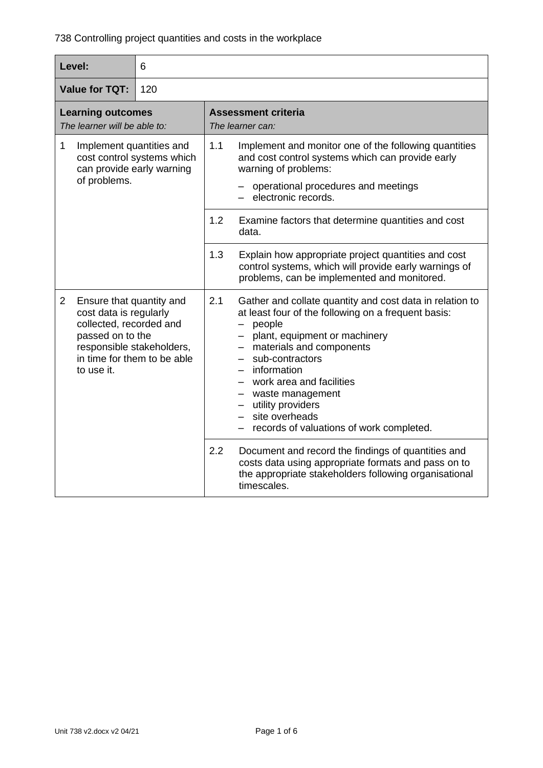| Level:                                                                                                                                                                                        | 6 |                   |                                                                                                                                                                                                                                                                                                                                                                                 |
|-----------------------------------------------------------------------------------------------------------------------------------------------------------------------------------------------|---|-------------------|---------------------------------------------------------------------------------------------------------------------------------------------------------------------------------------------------------------------------------------------------------------------------------------------------------------------------------------------------------------------------------|
| <b>Value for TQT:</b><br>120                                                                                                                                                                  |   |                   |                                                                                                                                                                                                                                                                                                                                                                                 |
| <b>Learning outcomes</b><br>The learner will be able to:                                                                                                                                      |   |                   | <b>Assessment criteria</b><br>The learner can:                                                                                                                                                                                                                                                                                                                                  |
| $\mathbf 1$<br>Implement quantities and<br>cost control systems which<br>can provide early warning<br>of problems.                                                                            |   | 1.1<br>1.2<br>1.3 | Implement and monitor one of the following quantities<br>and cost control systems which can provide early<br>warning of problems:<br>operational procedures and meetings<br>electronic records.<br>Examine factors that determine quantities and cost<br>data.<br>Explain how appropriate project quantities and cost                                                           |
|                                                                                                                                                                                               |   |                   | control systems, which will provide early warnings of<br>problems, can be implemented and monitored.                                                                                                                                                                                                                                                                            |
| $\overline{2}$<br>Ensure that quantity and<br>cost data is regularly<br>collected, recorded and<br>passed on to the<br>responsible stakeholders,<br>in time for them to be able<br>to use it. |   | 2.1               | Gather and collate quantity and cost data in relation to<br>at least four of the following on a frequent basis:<br>- people<br>- plant, equipment or machinery<br>- materials and components<br>- sub-contractors<br>- information<br>- work area and facilities<br>- waste management<br>- utility providers<br>- site overheads<br>- records of valuations of work completed. |
|                                                                                                                                                                                               |   | 2.2               | Document and record the findings of quantities and<br>costs data using appropriate formats and pass on to<br>the appropriate stakeholders following organisational<br>timescales.                                                                                                                                                                                               |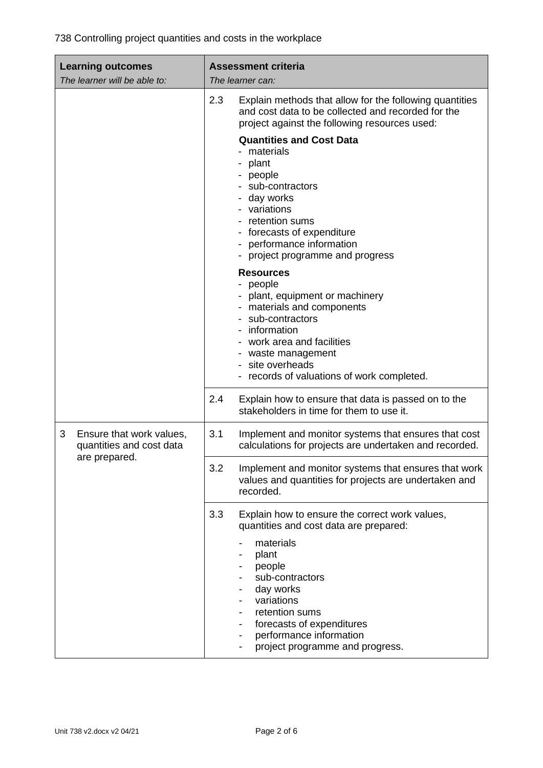| <b>Learning outcomes</b><br>The learner will be able to:  | <b>Assessment criteria</b><br>The learner can:                                                                                                                                                                                                |
|-----------------------------------------------------------|-----------------------------------------------------------------------------------------------------------------------------------------------------------------------------------------------------------------------------------------------|
|                                                           | 2.3<br>Explain methods that allow for the following quantities<br>and cost data to be collected and recorded for the<br>project against the following resources used:                                                                         |
|                                                           | <b>Quantities and Cost Data</b><br>materials<br>plant<br>people<br>sub-contractors<br>day works<br>variations<br>retention sums<br>forecasts of expenditure<br>performance information<br>project programme and progress                      |
|                                                           | <b>Resources</b><br>people<br>- plant, equipment or machinery<br>- materials and components<br>sub-contractors<br>information<br>work area and facilities<br>waste management<br>site overheads<br>- records of valuations of work completed. |
|                                                           | 2.4<br>Explain how to ensure that data is passed on to the<br>stakeholders in time for them to use it.                                                                                                                                        |
| 3<br>Ensure that work values,<br>quantities and cost data | 3.1<br>Implement and monitor systems that ensures that cost<br>calculations for projects are undertaken and recorded.                                                                                                                         |
| are prepared.                                             | 3.2<br>Implement and monitor systems that ensures that work<br>values and quantities for projects are undertaken and<br>recorded.                                                                                                             |
|                                                           | 3.3<br>Explain how to ensure the correct work values,<br>quantities and cost data are prepared:                                                                                                                                               |
|                                                           | materials<br>plant<br>people<br>sub-contractors<br>day works<br>variations<br>retention sums<br>forecasts of expenditures<br>performance information<br>project programme and progress.                                                       |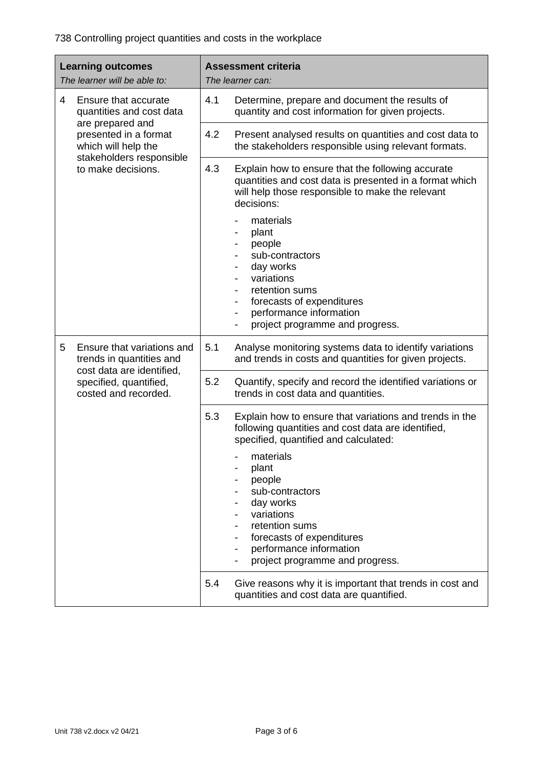| <b>Learning outcomes</b><br>The learner will be able to: |                                                                             | <b>Assessment criteria</b><br>The learner can: |                                                                                                                                                                                                                                                 |
|----------------------------------------------------------|-----------------------------------------------------------------------------|------------------------------------------------|-------------------------------------------------------------------------------------------------------------------------------------------------------------------------------------------------------------------------------------------------|
| 4<br>are prepared and                                    | Ensure that accurate<br>quantities and cost data                            | 4.1                                            | Determine, prepare and document the results of<br>quantity and cost information for given projects.                                                                                                                                             |
|                                                          | presented in a format<br>which will help the                                | 4.2                                            | Present analysed results on quantities and cost data to<br>the stakeholders responsible using relevant formats.                                                                                                                                 |
|                                                          | stakeholders responsible<br>to make decisions.                              | 4.3                                            | Explain how to ensure that the following accurate<br>quantities and cost data is presented in a format which<br>will help those responsible to make the relevant<br>decisions:                                                                  |
|                                                          |                                                                             |                                                | materials<br>plant<br>people<br>sub-contractors<br>day works<br>variations<br>retention sums<br>forecasts of expenditures<br>$\overline{\phantom{a}}$<br>performance information<br>$\overline{\phantom{a}}$<br>project programme and progress. |
| 5                                                        | Ensure that variations and<br>trends in quantities and                      | 5.1                                            | Analyse monitoring systems data to identify variations<br>and trends in costs and quantities for given projects.                                                                                                                                |
|                                                          | cost data are identified,<br>specified, quantified,<br>costed and recorded. | 5.2                                            | Quantify, specify and record the identified variations or<br>trends in cost data and quantities.                                                                                                                                                |
|                                                          |                                                                             | 5.3                                            | Explain how to ensure that variations and trends in the<br>following quantities and cost data are identified,<br>specified, quantified and calculated:                                                                                          |
|                                                          |                                                                             |                                                | materials<br>plant<br>people<br>sub-contractors<br>day works<br>variations<br>retention sums<br>forecasts of expenditures<br>performance information<br>project programme and progress.                                                         |
|                                                          |                                                                             | 5.4                                            | Give reasons why it is important that trends in cost and<br>quantities and cost data are quantified.                                                                                                                                            |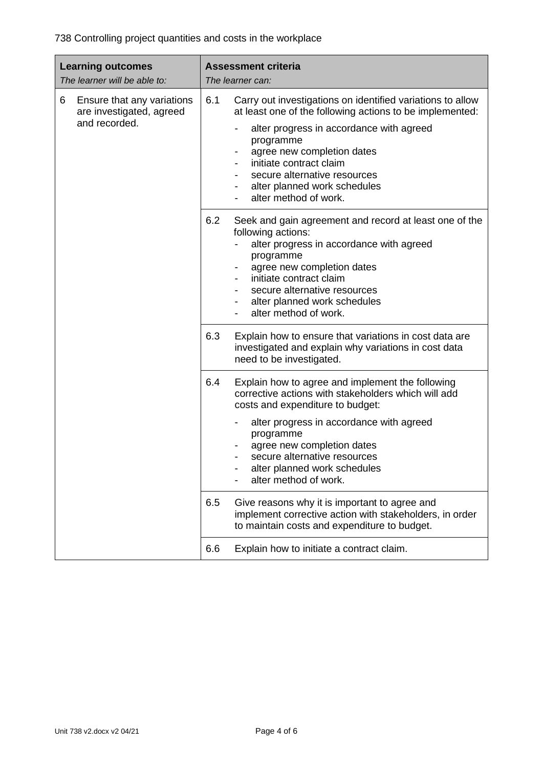| <b>Learning outcomes</b><br>The learner will be able to:    | <b>Assessment criteria</b><br>The learner can:                                                                                                                                                                                                                                                                             |  |
|-------------------------------------------------------------|----------------------------------------------------------------------------------------------------------------------------------------------------------------------------------------------------------------------------------------------------------------------------------------------------------------------------|--|
| Ensure that any variations<br>6<br>are investigated, agreed | 6.1<br>Carry out investigations on identified variations to allow<br>at least one of the following actions to be implemented:                                                                                                                                                                                              |  |
| and recorded.                                               | alter progress in accordance with agreed<br>programme<br>agree new completion dates<br>$\qquad \qquad \blacksquare$<br>initiate contract claim<br>secure alternative resources<br>alter planned work schedules<br>$\overline{\phantom{a}}$<br>alter method of work.                                                        |  |
|                                                             | 6.2<br>Seek and gain agreement and record at least one of the<br>following actions:<br>alter progress in accordance with agreed<br>programme<br>agree new completion dates<br>$\overline{\phantom{a}}$<br>initiate contract claim<br>secure alternative resources<br>alter planned work schedules<br>alter method of work. |  |
|                                                             | 6.3<br>Explain how to ensure that variations in cost data are<br>investigated and explain why variations in cost data<br>need to be investigated.                                                                                                                                                                          |  |
|                                                             | 6.4<br>Explain how to agree and implement the following<br>corrective actions with stakeholders which will add<br>costs and expenditure to budget:                                                                                                                                                                         |  |
|                                                             | alter progress in accordance with agreed<br>programme<br>agree new completion dates<br>secure alternative resources<br>alter planned work schedules<br>alter method of work.                                                                                                                                               |  |
|                                                             | 6.5<br>Give reasons why it is important to agree and<br>implement corrective action with stakeholders, in order<br>to maintain costs and expenditure to budget.                                                                                                                                                            |  |
|                                                             | 6.6<br>Explain how to initiate a contract claim.                                                                                                                                                                                                                                                                           |  |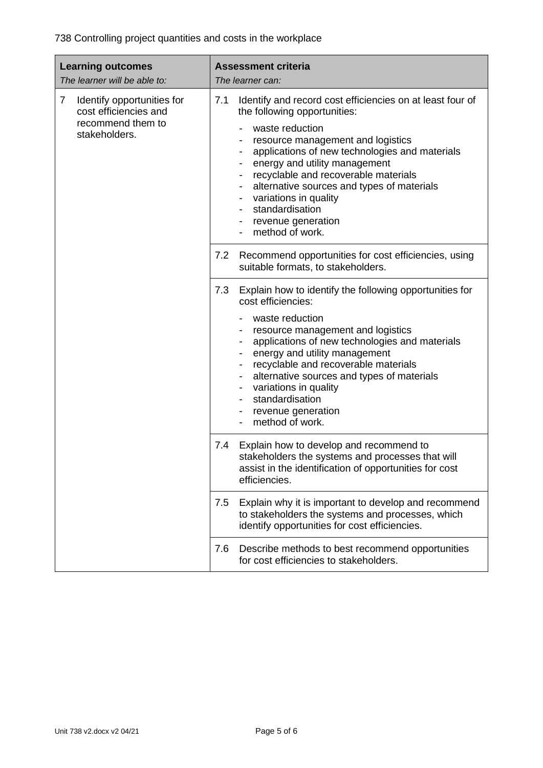| <b>Learning outcomes</b><br>The learner will be able to:                                       | <b>Assessment criteria</b><br>The learner can:                                                                                                                                                                                                                                                                                                                                                                                                                                     |  |
|------------------------------------------------------------------------------------------------|------------------------------------------------------------------------------------------------------------------------------------------------------------------------------------------------------------------------------------------------------------------------------------------------------------------------------------------------------------------------------------------------------------------------------------------------------------------------------------|--|
| 7<br>Identify opportunities for<br>cost efficiencies and<br>recommend them to<br>stakeholders. | 7.1<br>Identify and record cost efficiencies on at least four of<br>the following opportunities:<br>waste reduction<br>resource management and logistics<br>applications of new technologies and materials<br>energy and utility management<br>recyclable and recoverable materials<br>$\qquad \qquad \blacksquare$<br>alternative sources and types of materials<br>$\overline{\phantom{a}}$<br>variations in quality<br>standardisation<br>revenue generation<br>method of work. |  |
|                                                                                                | 7.2<br>Recommend opportunities for cost efficiencies, using<br>suitable formats, to stakeholders.                                                                                                                                                                                                                                                                                                                                                                                  |  |
|                                                                                                | 7.3<br>Explain how to identify the following opportunities for<br>cost efficiencies:<br>waste reduction<br>resource management and logistics<br>applications of new technologies and materials<br>energy and utility management<br>recyclable and recoverable materials<br>alternative sources and types of materials<br>variations in quality<br>$\qquad \qquad \blacksquare$<br>standardisation<br>revenue generation<br>method of work.<br>$\overline{\phantom{a}}$             |  |
|                                                                                                | Explain how to develop and recommend to<br>7.4<br>stakeholders the systems and processes that will<br>assist in the identification of opportunities for cost<br>efficiencies.                                                                                                                                                                                                                                                                                                      |  |
|                                                                                                | 7.5<br>Explain why it is important to develop and recommend<br>to stakeholders the systems and processes, which<br>identify opportunities for cost efficiencies.                                                                                                                                                                                                                                                                                                                   |  |
|                                                                                                | Describe methods to best recommend opportunities<br>7.6<br>for cost efficiencies to stakeholders.                                                                                                                                                                                                                                                                                                                                                                                  |  |